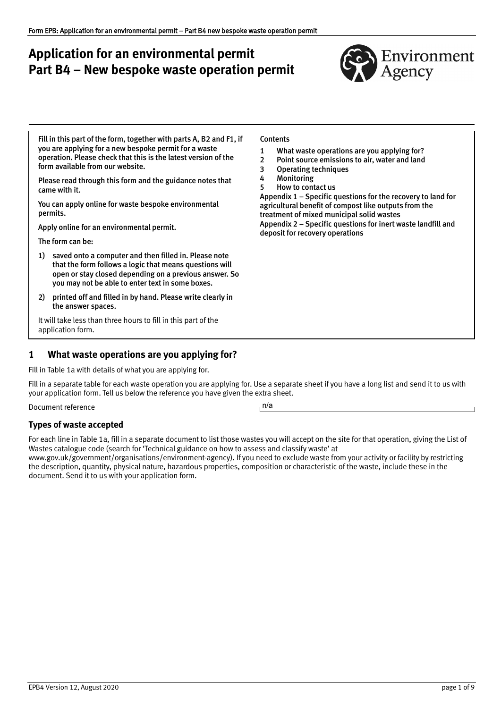# **Application for an environmental permit Part B4 – New bespoke waste operation permit**



Fill in this part of the form, together with parts A, B2 and F1, if you are applying for a new bespoke permit for a waste operation. Please check that this is the latest version of the form available from our website.

Please read through this form and the guidance notes that came with it.

You can apply online for waste bespoke environmental permits.

[Apply online for an environmental permit.](https://apply-for-environmental-permit.service.gov.uk/?_ga=2.75551058.65503217.1593421861-711718847.1585242019) 

The form can be:

- 1) saved onto a computer and then filled in. Please note that the form follows a logic that means questions will open or stay closed depending on a previous answer. So you may not be able to enter text in some boxes.
- 2) printed off and filled in by hand. Please write clearly in the answer spaces.

It will take less than three hours to fill in this part of the application form.

# <span id="page-0-0"></span>**1 What waste operations are you applying for?**

Fill in Table 1a with details of what you are applying for.

Fill in a separate table for each waste operation you are applying for. Use a separate sheet if you have a long list and send it to us with your application form. Tell us below the reference you have given the extra sheet.

Document reference

#### **Types of waste accepted**

For each line in Table 1a, fill in a separate document to list those wastes you will accept on the site for that operation, giving the List of Wastes catalogue code (search for 'Technical guidance on how to assess and classify waste' at

[www.gov.uk/government/organisations/environment‐agency](http://www.gov.uk/government/organisations/environment-agency)). If you need to exclude waste from your activity or facility by restricting the description, quantity, physical nature, hazardous properties, composition or characteristic of the waste, include these in the document. Send it to us with your application form.

| Contents |  |
|----------|--|
|----------|--|

- 1 [What waste operations are you applying for?](#page-0-0)
- 2 [Point source emissions to air, water and land](#page-2-0)
- 3 [Operating techniques](#page-4-0)
- 4 [Monitoring](#page-5-0)
- 5 [How to contact us](#page-5-1)

[Appendix 1 – Specific questions for the recovery to land for](#page-7-0)  [agricultural benefit of compost like outputs from the](#page-7-0)  [treatment of mixed municipal](#page-7-0) solid wastes [Appendix 2 – Specific questions for inert waste landfill and](#page-7-1)  [deposit for recovery operations](#page-7-1)

n/a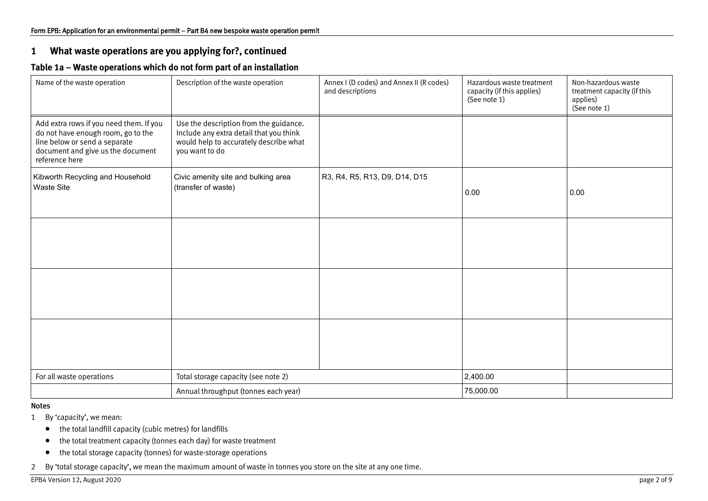# **1 What waste operations are you applying for?, continued**

# **Table 1a – Waste operations which do not form part of an installation**

| Name of the waste operation                                                                                                                                           | Description of the waste operation                                                                                                            | Annex I (D codes) and Annex II (R codes)<br>and descriptions | Hazardous waste treatment<br>capacity (if this applies)<br>(See note 1) | Non-hazardous waste<br>treatment capacity (if this<br>applies)<br>(See note 1) |
|-----------------------------------------------------------------------------------------------------------------------------------------------------------------------|-----------------------------------------------------------------------------------------------------------------------------------------------|--------------------------------------------------------------|-------------------------------------------------------------------------|--------------------------------------------------------------------------------|
| Add extra rows if you need them. If you<br>do not have enough room, go to the<br>line below or send a separate<br>document and give us the document<br>reference here | Use the description from the guidance.<br>Include any extra detail that you think<br>would help to accurately describe what<br>you want to do |                                                              |                                                                         |                                                                                |
| Kibworth Recycling and Household<br><b>Waste Site</b>                                                                                                                 | Civic amenity site and bulking area<br>(transfer of waste)                                                                                    | R3, R4, R5, R13, D9, D14, D15                                | 0.00                                                                    | 0.00                                                                           |
|                                                                                                                                                                       |                                                                                                                                               |                                                              |                                                                         |                                                                                |
|                                                                                                                                                                       |                                                                                                                                               |                                                              |                                                                         |                                                                                |
|                                                                                                                                                                       |                                                                                                                                               |                                                              |                                                                         |                                                                                |
| For all waste operations                                                                                                                                              | Total storage capacity (see note 2)                                                                                                           |                                                              | 2,400.00                                                                |                                                                                |
|                                                                                                                                                                       | Annual throughput (tonnes each year)                                                                                                          |                                                              | 75,000.00                                                               |                                                                                |

#### Notes

- 1 By 'capacity', we mean:
	- the total landfill capacity (cubic metres) for landfills
	- the total treatment capacity (tonnes each day) for waste treatment
	- the total storage capacity (tonnes) for waste‐storage operations
- 2 By 'total storage capacity', we mean the maximum amount of waste in tonnes you store on the site at any one time.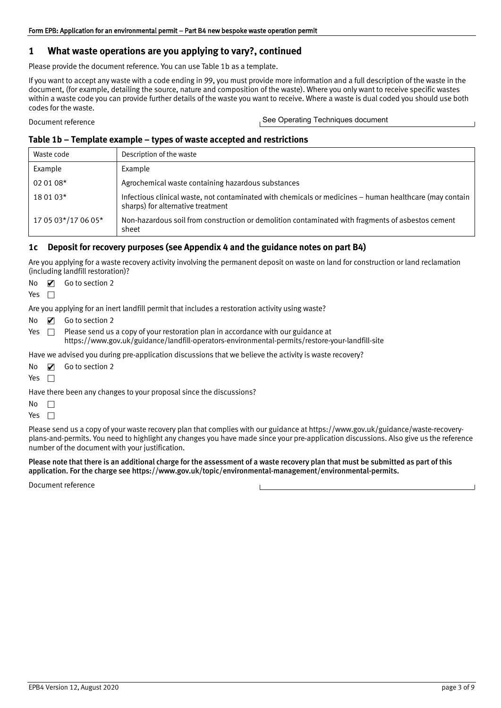### **1 What waste operations are you applying to vary?, continued**

Please provide the document reference. You can use Table 1b as a template.

If you want to accept any waste with a code ending in 99, you must provide more information and a full description of the waste in the document, (for example, detailing the source, nature and composition of the waste). Where you only want to receive specific wastes within a waste code you can provide further details of the waste you want to receive. Where a waste is dual coded you should use both codes for the waste.

Document reference

See Operating Techniques document

#### **Table 1b – Template example – types of waste accepted and restrictions**

| Waste code          | Description of the waste                                                                                                                     |
|---------------------|----------------------------------------------------------------------------------------------------------------------------------------------|
| Example             | Example                                                                                                                                      |
| 02 01 08*           | Agrochemical waste containing hazardous substances                                                                                           |
| 18 01 03*           | Infectious clinical waste, not contaminated with chemicals or medicines - human healthcare (may contain<br>sharps) for alternative treatment |
| 17 05 03*/17 06 05* | Non-hazardous soil from construction or demolition contaminated with fragments of asbestos cement<br>sheet                                   |

#### **1c Deposit for recovery purposes (see Appendix 4 and the guidance notes on part B4)**

Are you applying for a waste recovery activity involving the permanent deposit on waste on land for construction or land reclamation (including landfill restoration)?

| No | Z | Go to section 2 |
|----|---|-----------------|
|    |   |                 |

Yes  $\Box$ 

Are you applying for an inert landfill permit that includes a restoration activity using waste?

- No  $\blacksquare$  Go to section 2 ✔
- Yes  $\Box$  Please send us a copy of your restoration plan in accordance with our guidance at [https://www.gov.uk/guidance/landfill](https://www.gov.uk/guidance/landfill-operators-environmental-permits/restore-your-landfill-site)‐operators‐environmental‐permits/restore‐your‐landfill‐site

Have we advised you during pre-application discussions that we believe the activity is waste recovery?

|                           | No $\blacksquare$ Go to section 2 |
|---------------------------|-----------------------------------|
| $V_{\alpha\alpha}$ $\Box$ |                                   |

Yes

Have there been any changes to your proposal since the discussions?

 $No$   $\Box$ 

Yes  $\Box$ 

Please send us a copy of your waste recovery plan that complies with our guidance at [https://www.gov.uk/guidance/waste‐recovery‐](https://www.gov.uk/guidance/waste%E2%80%90recovery%E2%80%90plans%E2%80%90and%E2%80%90permits) [plans‐and‐permits](https://www.gov.uk/guidance/waste%E2%80%90recovery%E2%80%90plans%E2%80%90and%E2%80%90permits). You need to highlight any changes you have made since your pre‐application discussions. Also give us the reference number of the document with your justification.

#### Please note that there is an additional charge for the assessment of a waste recovery plan that must be submitted as part of this application. For the charge se[e https://www.gov.uk/topic/environmental‐management/environmental‐permits.](https://www.gov.uk/topic/environmental-management/environmental-permits)

<span id="page-2-0"></span>Document reference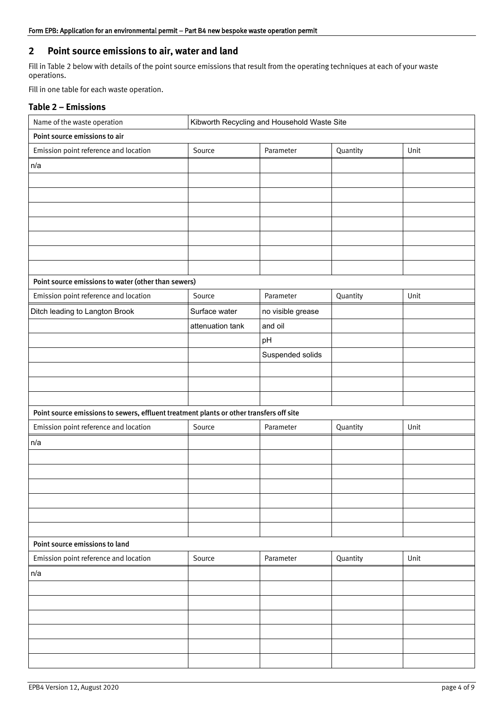# **2 Point source emissions to air, water and land**

Fill in Table 2 below with details of the point source emissions that result from the operating techniques at each of your waste operations.

Fill in one table for each waste operation.

### **Table 2 – Emissions**

| Name of the waste operation                                                             | Kibworth Recycling and Household Waste Site |                   |          |      |
|-----------------------------------------------------------------------------------------|---------------------------------------------|-------------------|----------|------|
| Point source emissions to air                                                           |                                             |                   |          |      |
| Emission point reference and location                                                   | Source                                      | Parameter         | Quantity | Unit |
| n/a                                                                                     |                                             |                   |          |      |
|                                                                                         |                                             |                   |          |      |
|                                                                                         |                                             |                   |          |      |
|                                                                                         |                                             |                   |          |      |
|                                                                                         |                                             |                   |          |      |
|                                                                                         |                                             |                   |          |      |
|                                                                                         |                                             |                   |          |      |
|                                                                                         |                                             |                   |          |      |
| Point source emissions to water (other than sewers)                                     |                                             |                   |          |      |
| Emission point reference and location                                                   | Source                                      | Parameter         | Quantity | Unit |
| Ditch leading to Langton Brook                                                          | Surface water                               | no visible grease |          |      |
|                                                                                         | attenuation tank                            | and oil           |          |      |
|                                                                                         |                                             | pH                |          |      |
|                                                                                         |                                             | Suspended solids  |          |      |
|                                                                                         |                                             |                   |          |      |
|                                                                                         |                                             |                   |          |      |
|                                                                                         |                                             |                   |          |      |
| Point source emissions to sewers, effluent treatment plants or other transfers off site |                                             |                   |          |      |
| Emission point reference and location                                                   | Source                                      | Parameter         | Quantity | Unit |
| n/a                                                                                     |                                             |                   |          |      |
|                                                                                         |                                             |                   |          |      |
|                                                                                         |                                             |                   |          |      |
|                                                                                         |                                             |                   |          |      |
|                                                                                         |                                             |                   |          |      |
|                                                                                         |                                             |                   |          |      |
|                                                                                         |                                             |                   |          |      |
| Point source emissions to land                                                          |                                             |                   |          |      |
| Emission point reference and location                                                   | Source                                      | Parameter         | Quantity | Unit |
| n/a                                                                                     |                                             |                   |          |      |
|                                                                                         |                                             |                   |          |      |
|                                                                                         |                                             |                   |          |      |
|                                                                                         |                                             |                   |          |      |
|                                                                                         |                                             |                   |          |      |
|                                                                                         |                                             |                   |          |      |
|                                                                                         |                                             |                   |          |      |
|                                                                                         |                                             |                   |          |      |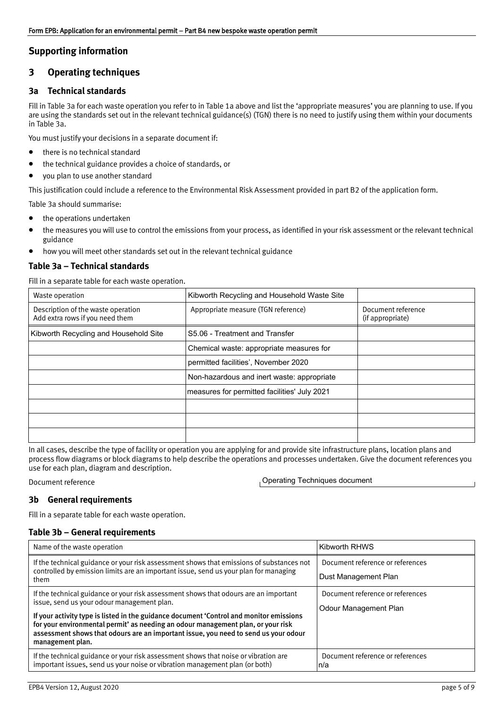### **Supporting information**

### <span id="page-4-0"></span>**3 Operating techniques**

#### **3a Technical standards**

Fill in Table 3a for each waste operation you refer to in Table 1a above and list the 'appropriate measures' you are planning to use. If you are using the standards set out in the relevan[t technical guidance\(s\) \(TGN\)](https://www.gov.uk/government/collections/technical-guidance-for-regulated-industry-sectors-environmental-permitting) there is no need to justify using them within your documents in Table 3a.

You must justify your decisions in a separate document if:

- there is no technical standard
- the technical guidance provides a choice of standards, or
- you plan to use another standard

This justification could include a reference to the Environmental Risk Assessment provided in part B2 of the application form.

Table 3a should summarise:

- the operations undertaken
- the measures you will use to control the emissions from your process, as identified in your risk assessment or the relevant technical guidance
- how you will meet other standards set out in the relevant technical guidance

#### **Table 3a – Technical standards**

Fill in a separate table for each waste operation.

| Waste operation                                                       | Kibworth Recycling and Household Waste Site                                                                                                                                                                                                                                   |                                        |
|-----------------------------------------------------------------------|-------------------------------------------------------------------------------------------------------------------------------------------------------------------------------------------------------------------------------------------------------------------------------|----------------------------------------|
| Description of the waste operation<br>Add extra rows if you need them | Appropriate measure (TGN reference)                                                                                                                                                                                                                                           | Document reference<br>(if appropriate) |
| Kibworth Recycling and Household Site                                 | S5.06 - Treatment and Transfer                                                                                                                                                                                                                                                |                                        |
|                                                                       | Chemical waste: appropriate measures for                                                                                                                                                                                                                                      |                                        |
|                                                                       | permitted facilities', November 2020                                                                                                                                                                                                                                          |                                        |
|                                                                       | Non-hazardous and inert waste: appropriate                                                                                                                                                                                                                                    |                                        |
|                                                                       | measures for permitted facilities' July 2021                                                                                                                                                                                                                                  |                                        |
|                                                                       |                                                                                                                                                                                                                                                                               |                                        |
|                                                                       |                                                                                                                                                                                                                                                                               |                                        |
|                                                                       |                                                                                                                                                                                                                                                                               |                                        |
| use for each plan, diagram and description.                           | In all cases, describe the type of facility or operation you are applying for and provide site infrastructure plans, location plans and<br>process flow diagrams or block diagrams to help describe the operations and processes undertaken. Give the document references you |                                        |
| Document reference                                                    | <b>Operating Techniques document</b>                                                                                                                                                                                                                                          |                                        |

Document reference

#### **3b General requirements**

Fill in a separate table for each waste operation.

### **Table 3b – General requirements**

| Name of the waste operation                                                                                                                                                                                                                                                                                                                                                                                                  | <b>Kibworth RHWS</b>                                      |
|------------------------------------------------------------------------------------------------------------------------------------------------------------------------------------------------------------------------------------------------------------------------------------------------------------------------------------------------------------------------------------------------------------------------------|-----------------------------------------------------------|
| If the technical guidance or your risk assessment shows that emissions of substances not<br>controlled by emission limits are an important issue, send us your plan for managing<br>them                                                                                                                                                                                                                                     | Document reference or references<br>Dust Management Plan  |
| If the technical guidance or your risk assessment shows that odours are an important<br>issue, send us your odour management plan.<br>If your activity type is listed in the guidance document 'Control and monitor emissions<br>for your environmental permit' as needing an odour management plan, or your risk<br>assessment shows that odours are an important issue, you need to send us your odour<br>management plan. | Document reference or references<br>Odour Management Plan |
| If the technical guidance or your risk assessment shows that noise or vibration are<br>important issues, send us your noise or vibration management plan (or both)                                                                                                                                                                                                                                                           | Document reference or references<br>n/a                   |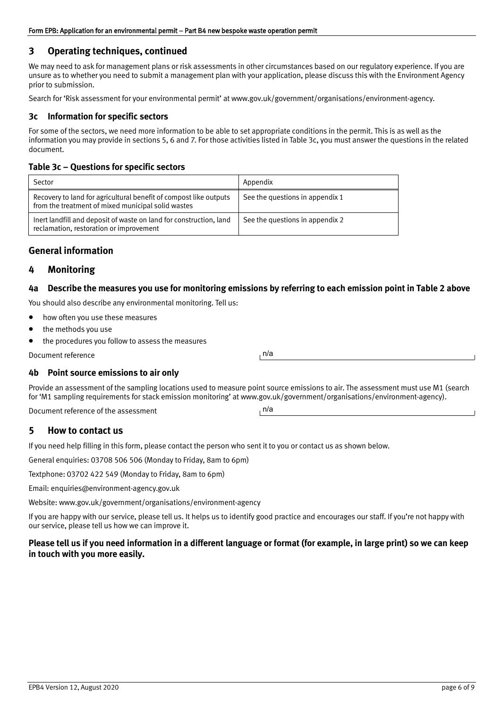### **3 Operating techniques, continued**

We may need to ask for management plans or risk assessments in other circumstances based on our regulatory experience. If you are unsure as to whether you need to submit a management plan with your application, please discuss this with the Environment Agency prior to submission.

Search for 'Risk assessment for your environmental permit' at [www.gov.uk/government/organisations/environment‐agency](http://www.gov.uk/government/organisations/environment-agency).

#### **3c Information for specific sectors**

For some of the sectors, we need more information to be able to set appropriate conditions in the permit. This is as well as the information you may provide in sections 5, 6 and 7. For those activities listed in Table 3c, you must answer the questions in the related document.

#### **Table 3c – Questions for specific sectors**

| Sector                                                                                                                  | Appendix                        |
|-------------------------------------------------------------------------------------------------------------------------|---------------------------------|
| Recovery to land for agricultural benefit of compost like outputs<br>from the treatment of mixed municipal solid wastes | See the questions in appendix 1 |
| Inert landfill and deposit of waste on land for construction, land<br>reclamation, restoration or improvement           | See the questions in appendix 2 |

### **General information**

### <span id="page-5-0"></span>**4 Monitoring**

#### **4a [Describe the measures you use for](mailto:enquiries@environment-agency.gov.uk) monitoring emissions by referring to each emission point in Table 2 above**

You sho[uld also describe any environmental monitoring. Tell us:](http://www.gov.uk/government/organisations/environment-agency)

- how often you use these measures
- the methods you use
- the procedures you follow to assess the measures

Document reference

#### **4b Point source emissions to air only**

Provide an assessment of the sampling locations used to measure point source emissions to air. The assessment must use M1 (search for 'M1 sampling requirements for stack emission monitoring' at www.gov.uk/government[/organisations/environment‐a](http://www.gov.uk/government/organisations/environment-agency)gency).

Document reference of the assessment

### <span id="page-5-1"></span>**5 How to contact us**

If you need help filling in this form, please contact the person who sent it to you or contact us as shown below.

General enquiries: 03708 506 506 (Monday to Friday, 8am to 6pm)

Textphone: 03702 422 549 (Monday to Friday, 8am to 6pm)

Email: [enquiries@environment‐agency.gov.uk](mailto:enquiries@environment-agency.gov.uk)

Website: [www.gov.uk/government/organisations/environment‐agency](http://www.gov.uk/government/organisations/environment-agency)

If you are happy with our service, please tell us. It helps us to identify good practice and encourages our staff. If you're not happy with our service, please tell us how we can improve it.

### **Please tell us if you need information in a different language or format (for example, in large print) so we can keep in touch with you more easily.**

n/a

n/a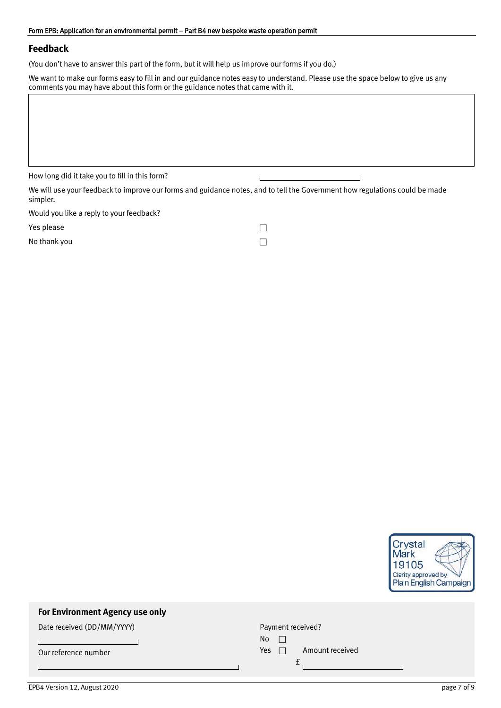#### Form EPB: Application for an environmental permit – Part B4 new bespoke waste operation permit

### **Feedback**

(You don't have to answer this part of the form, but it will help us improve our forms if you do.)

We want to make our forms easy to fill in and our guidance notes easy to understand. Please use the space below to give us any comments you may have about this form or the guidance notes that came with it.

How long did it take you to fill in this form?

 $\overline{\phantom{0}}$ 

We will use your feedback to improve our forms and guidance notes, and to tell the Government how regulations could be made simpler.

Would you like a reply to your feedback?

Yes please

No thank you

| ━━━ |  |
|-----|--|
|     |  |
|     |  |

 $\mathsf{L}$ 



# **For Environment Agency use only**

Date received (DD/MM/YYYY)

Our reference number

Payment received? No  $\Box$ 

| $\cdot\cdot\cdot$ |                 |
|-------------------|-----------------|
| Yes $\Box$        | Amount received |
|                   |                 |

EPB4 Version 12, August 2020 page 7 of 9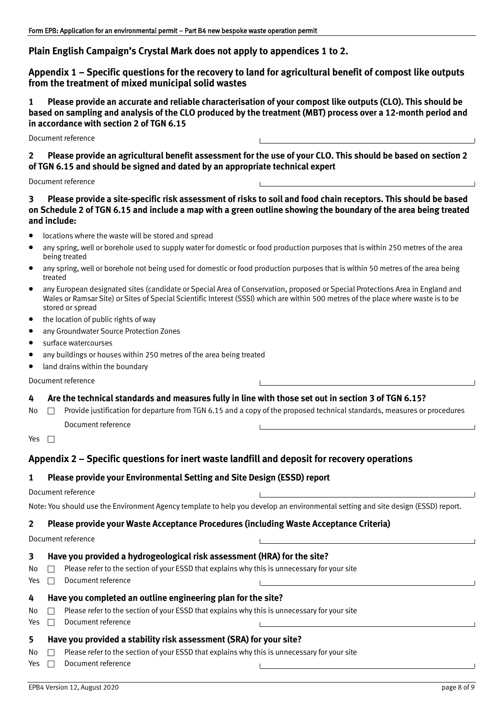### **Plain English Campaign's Crystal Mark does not apply to appendices 1 to 2.**

<span id="page-7-0"></span>**Appendix 1 – Specific questions for the recovery to land for agricultural benefit of compost like outputs from the treatment of mixed municipal solid wastes**

**1 Please provide an accurate and reliable characterisation of your compost like outputs (CLO). This should be based on sampling and analysis of the CLO produced by the treatment (MBT) process over a 12‐month period and in accordance with section 2 of TGN 6.15**

Document reference

**2 Please provide an agricultural benefit assessment for the use of your CLO. This should be based on section 2 of TGN 6.15 and should be signed and dated by an appropriate technical expert**

Document reference

### **3 Please provide a site‐specific risk assessment of risks to soil and food chain receptors. This should be based on Schedule 2 of TGN 6.15 and include a map with a green outline showing the boundary of the area being treated and include:**

- locations where the waste will be stored and spread
- any spring, well or borehole used to supply water for domestic or food production purposes that is within 250 metres of the area being treated
- any spring, well or borehole not being used for domestic or food production purposes that is within 50 metres of the area being treated
- any European designated sites (candidate or Special Area of Conservation, proposed or Special Protections Area in England and Wales or Ramsar Site) or Sites of Special Scientific Interest (SSSI) which are within 500 metres of the place where waste is to be stored or spread
- the location of public rights of way
- any Groundwater Source Protection Zones
- surface watercourses
- any buildings or houses within 250 metres of the area being treated
- land drains within the boundary

Document reference

**4 Are the technical standards and measures fully in line with those set out in section 3 of TGN 6.15?**

No  $\Box$  Provide justification for departure from TGN 6.15 and a copy of the proposed technical standards, measures or procedures Document reference

Yes  $\Box$ 

### <span id="page-7-1"></span>**Appendix 2 – Specific questions for inert waste landfill and deposit for recovery operations**

#### **1 Please provide your Environmental Setting and Site Design (ESSD) report**

#### Document reference

Note: You should use the Environment Agency template to help you develop an environmental setting and site design (ESSD) report.

#### **2 Please provide your Waste Acceptance Procedures (including Waste Acceptance Criteria)**

Document reference

#### **3 Have you provided a hydrogeological risk assessment (HRA) for the site?**

- No  $\Box$  Please refer to the section of your ESSD that explains why this is unnecessary for your site
- Yes  $\Box$  Document reference

# **4 Have you completed an outline engineering plan for the site?**

- $No \Box$  Please refer to the section of your ESSD that explains why this is unnecessary for your site
- Yes  $\Box$  Document reference

# **5 Have you provided a stability risk assessment (SRA) for your site?**

- $\mathsf{No} \ \Box$  Please refer to the section of your ESSD that explains why this is unnecessary for your site
- Yes  $\Box$  Document reference